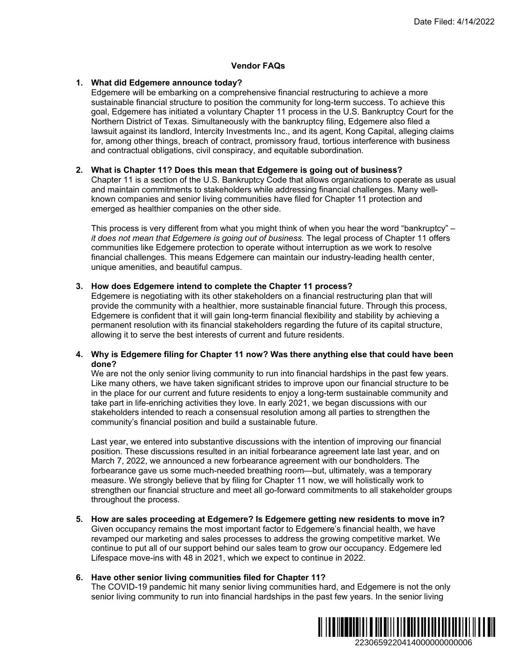## **Vendor FAQs**

## **1. What did Edgemere announce today?**

Edgemere will be embarking on a comprehensive financial restructuring to achieve a more sustainable financial structure to position the community for long-term success. To achieve this goal, Edgemere has initiated a voluntary Chapter 11 process in the U.S. Bankruptcy Court for the Northern District of Texas. Simultaneously with the bankruptcy filing, Edgemere also filed a lawsuit against its landlord, Intercity Investments Inc., and its agent, Kong Capital, alleging claims for, among other things, breach of contract, promissory fraud, tortious interference with business and contractual obligations, civil conspiracy, and equitable subordination. Date Filed: 4/14/2022<br>
gto achieve a more<br>
success. To achieve this<br>
s. Bankruptcy Court for the<br>
dgemera also filed a<br>
mg Capital, alleigng claims<br>
interference with business<br>
n.<br>
f business?<br>
Thusiness?<br>
Thusiness?<br>
Thus

## **2. What is Chapter 11? Does this mean that Edgemere is going out of business?**

Chapter 11 is a section of the U.S. Bankruptcy Code that allows organizations to operate as usual and maintain commitments to stakeholders while addressing financial challenges. Many wellknown companies and senior living communities have filed for Chapter 11 protection and emerged as healthier companies on the other side.

This process is very different from what you might think of when you hear the word "bankruptcy" – *it does not mean that Edgemere is going out of business.* The legal process of Chapter 11 offers communities like Edgemere protection to operate without interruption as we work to resolve financial challenges. This means Edgemere can maintain our industry-leading health center, unique amenities, and beautiful campus.

## **3. How does Edgemere intend to complete the Chapter 11 process?**

Edgemere is negotiating with its other stakeholders on a financial restructuring plan that will provide the community with a healthier, more sustainable financial future. Through this process, Edgemere is confident that it will gain long-term financial flexibility and stability by achieving a permanent resolution with its financial stakeholders regarding the future of its capital structure, allowing it to serve the best interests of current and future residents.

# **4. Why is Edgemere filing for Chapter 11 now? Was there anything else that could have been done?**

We are not the only senior living community to run into financial hardships in the past few years. Like many others, we have taken significant strides to improve upon our financial structure to be in the place for our current and future residents to enjoy a long-term sustainable community and take part in life-enriching activities they love. In early 2021, we began discussions with our stakeholders intended to reach a consensual resolution among all parties to strengthen the community's financial position and build a sustainable future.

Last year, we entered into substantive discussions with the intention of improving our financial position. These discussions resulted in an initial forbearance agreement late last year, and on March 7, 2022, we announced a new forbearance agreement with our bondholders. The forbearance gave us some much-needed breathing room—but, ultimately, was a temporary measure. We strongly believe that by filing for Chapter 11 now, we will holistically work to strengthen our financial structure and meet all go-forward commitments to all stakeholder groups throughout the process.

**5. How are sales proceeding at Edgemere? Is Edgemere getting new residents to move in?**  Given occupancy remains the most important factor to Edgemere's financial health, we have revamped our marketing and sales processes to address the growing competitive market. We continue to put all of our support behind our sales team to grow our occupancy. Edgemere led Lifespace move-ins with 48 in 2021, which we expect to continue in 2022.

# **6. Have other senior living communities filed for Chapter 11?**

The COVID-19 pandemic hit many senior living communities hard, and Edgemere is not the only senior living community to run into financial hardships in the past few years. In the senior living

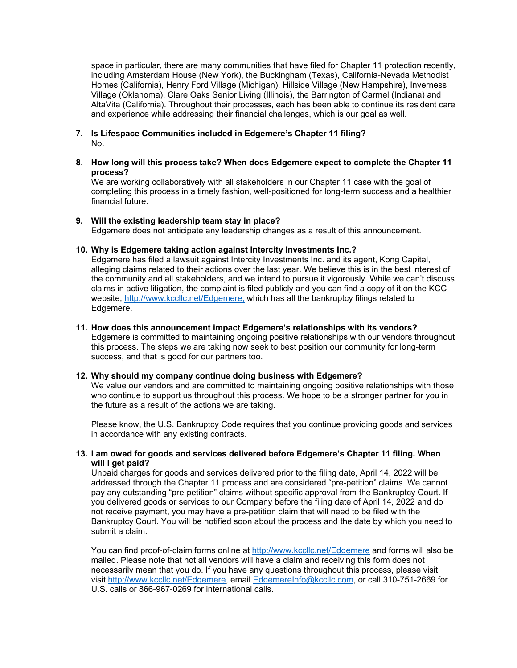space in particular, there are many communities that have filed for Chapter 11 protection recently, including Amsterdam House (New York), the Buckingham (Texas), California-Nevada Methodist Homes (California), Henry Ford Village (Michigan), Hillside Village (New Hampshire), Inverness Village (Oklahoma), Clare Oaks Senior Living (Illinois), the Barrington of Carmel (Indiana) and AltaVita (California). Throughout their processes, each has been able to continue its resident care and experience while addressing their financial challenges, which is our goal as well.

- **7. Is Lifespace Communities included in Edgemere's Chapter 11 filing?**  No.
- **8. How long will this process take? When does Edgemere expect to complete the Chapter 11 process?**

We are working collaboratively with all stakeholders in our Chapter 11 case with the goal of completing this process in a timely fashion, well-positioned for long-term success and a healthier financial future.

## **9. Will the existing leadership team stay in place?**

Edgemere does not anticipate any leadership changes as a result of this announcement.

# **10. Why is Edgemere taking action against Intercity Investments Inc.?**

Edgemere has filed a lawsuit against Intercity Investments Inc. and its agent, Kong Capital, alleging claims related to their actions over the last year. We believe this is in the best interest of the community and all stakeholders, and we intend to pursue it vigorously. While we can't discuss claims in active litigation, the complaint is filed publicly and you can find a copy of it on the KCC website, http://www.kccllc.net/Edgemere, which has all the bankruptcy filings related to Edgemere.

#### **11. How does this announcement impact Edgemere's relationships with its vendors?**

Edgemere is committed to maintaining ongoing positive relationships with our vendors throughout this process. The steps we are taking now seek to best position our community for long-term success, and that is good for our partners too.

# **12. Why should my company continue doing business with Edgemere?**

We value our vendors and are committed to maintaining ongoing positive relationships with those who continue to support us throughout this process. We hope to be a stronger partner for you in the future as a result of the actions we are taking.

Please know, the U.S. Bankruptcy Code requires that you continue providing goods and services in accordance with any existing contracts.

## **13. I am owed for goods and services delivered before Edgemere's Chapter 11 filing. When will I get paid?**

Unpaid charges for goods and services delivered prior to the filing date, April 14, 2022 will be addressed through the Chapter 11 process and are considered "pre-petition" claims. We cannot pay any outstanding "pre-petition" claims without specific approval from the Bankruptcy Court. If you delivered goods or services to our Company before the filing date of April 14, 2022 and do not receive payment, you may have a pre-petition claim that will need to be filed with the Bankruptcy Court. You will be notified soon about the process and the date by which you need to submit a claim.

You can find proof-of-claim forms online at http://www.kccllc.net/Edgemere and forms will also be mailed. Please note that not all vendors will have a claim and receiving this form does not necessarily mean that you do. If you have any questions throughout this process, please visit visit http://www.kccllc.net/Edgemere, email EdgemereInfo@kccllc.com, or call 310-751-2669 for U.S. calls or 866-967-0269 for international calls.